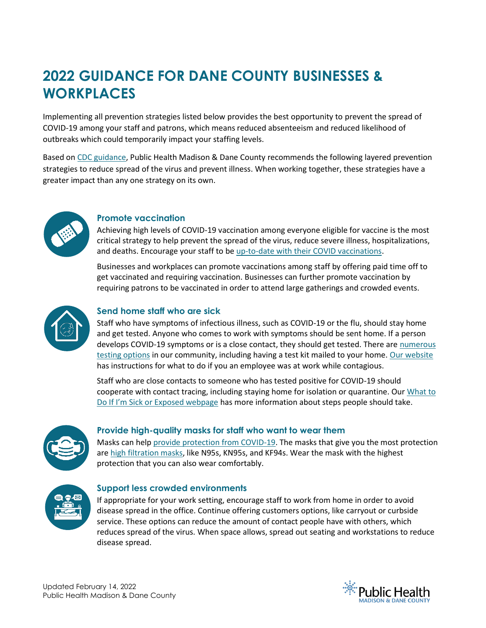# **2022 GUIDANCE FOR DANE COUNTY BUSINESSES & WORKPLACES**

Implementing all prevention strategies listed below provides the best opportunity to prevent the spread of COVID-19 among your staff and patrons, which means reduced absenteeism and reduced likelihood of outbreaks which could temporarily impact your staffing levels.

Based on [CDC guidance,](https://www.cdc.gov/coronavirus/2019-ncov/community/workplaces-businesses/index.html) Public Health Madison & Dane County recommends the following layered prevention strategies to reduce spread of the virus and prevent illness. When working together, these strategies have a greater impact than any one strategy on its own.



#### **Promote vaccination**

Achieving high levels of COVID-19 vaccination among everyone eligible for vaccine is the most critical strategy to help prevent the spread of the virus, reduce severe illness, hospitalizations, and deaths. Encourage your staff to b[e up-to-date with their COVID vaccinations.](https://www.cdc.gov/coronavirus/2019-ncov/vaccines/stay-up-to-date.html)

Businesses and workplaces can promote vaccinations among staff by offering paid time off to get vaccinated and requiring vaccination. Businesses can further promote vaccination by requiring patrons to be vaccinated in order to attend large gatherings and crowded events.



### **Send home staff who are sick**

Staff who have symptoms of infectious illness, such as COVID-19 or the flu, should stay home and get tested. Anyone who comes to work with symptoms should be sent home. If a person develops COVID-19 symptoms or is a close contact, they should get tested. There are numerous [testing options](https://publichealthmdc.com/covid19testing) in our community, including having a test kit mailed to your home. [Our website](https://publichealthmdc.com/coronavirus/what-to-do-if-you-are-sick-or-possibly-exposed/what-to-do-if-an-employee) has instructions for what to do if you an employee was at work while contagious.

Staff who are close contacts to someone who has tested positive for COVID-19 should cooperate with contact tracing, including staying home for isolation or quarantine. Ou[r What to](https://publichealthmdc.com/coronavirus/what-to-do-if-you-are-sick-or-possibly-exposed)  [Do If I'm Sick or Exposed webpage](https://publichealthmdc.com/coronavirus/what-to-do-if-you-are-sick-or-possibly-exposed) has more information about steps people should take.



## **Provide high-quality masks for staff who want to wear them**

Masks can help [provide protection from COVID-19.](https://www.cdc.gov/coronavirus/2019-ncov/prevent-getting-sick/about-face-coverings.html) The masks that give you the most protection are [high filtration masks,](https://www.cdc.gov/coronavirus/2019-ncov/prevent-getting-sick/types-of-masks.html) like N95s, KN95s, and KF94s. Wear the mask with the highest protection that you can also wear comfortably.



#### **Support less crowded environments**

If appropriate for your work setting, encourage staff to work from home in order to avoid disease spread in the office. Continue offering customers options, like carryout or curbside service. These options can reduce the amount of contact people have with others, which reduces spread of the virus. When space allows, spread out seating and workstations to reduce disease spread.